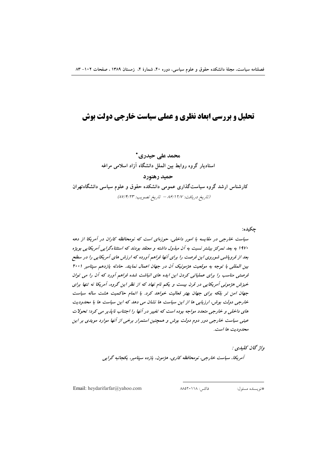# تحلیل و بررسی ابعاد نظری و عملی سیاست خارجی دولت بوش

محمد على حيدري \* استادیار گروه روابط بین الملل دانشگاه آزاد اسلامی مراغه

حميد رهنورد

کارشناس ارشد گروه سیاستگذاری عمومی دانشکده حقوق و علوم سیاسی دانشگاهتهران (تاريخ دريافت: ١٢/٧ ٨۶/١٢/١ - تاريخ تصويب: ٨٧/٢/٢٣)

جكيده: سیاست خارجی در مقایسه با امور داخلی، حوزهای است که نومحافظه کاران در آمریکا از دهه ۱۹۷۰ به بعد تمرکز بیشتر نسبت به آن مبذول داشته و معتقد بودند که استثناءگرایی آمریکایی بویژه بعد از فروپاشی شوروی این فرصت را برای آنها فراهم آورده که ارزش های آمریکایی را در سطح بین المللی با توجه به موقعیت هژمونیک آن در جهان اعمال نمایند. حادثه یازدهم سپتامبر ۲۰۰۱ فرصتی مناسب را برای عملیاتی کردن این ایده های انباشت شده فراهم آورد که آن را می توان خیزش هژمونی آمریکایی در قرن بیست و یکم نام نهاد که از نظر این گروه، آمریکا نه تنها برای جهان امن تر بلکه برای جهان بهتر فعالیت خواهد کرد. با اتمام حاکمیت هشت ساله سیاست خارجی دولت بوش، ارزیابی ها از این سیاست ها نشان می دهد که این سیاست ها با محدودیت های داخلی و خارجی متعدد مواجه بوده است که تغییر در آنها را اجتناب ناپذیر می کرد؛ تحولات عینی سیاست خارجی دور دوم دولت بوش و همچنین استمرار برخی از آنها موارد مویدی بر این محدوديت ها است.

واژ گان كليدي :

آمریکا، سیاست خارجی، نومحافظه کاری، هژمون، یازده سپتامبر، یکجانبه گرایی

Email: heydarifarfar@yahoo.com

فاكس: ١١٨، ٨٨٥٢٠

#نويسنده مسئول: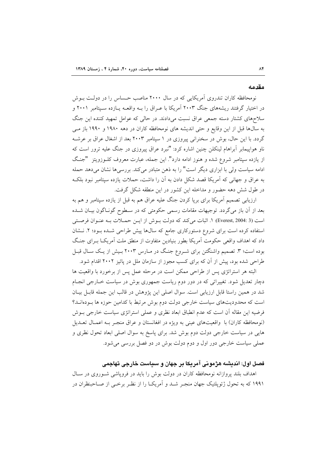#### مقدمه

نومحافظه کاران تندروی آمریکایی که در سال ۲۰۰۰ مناصب حساس را در دولت بوش در اختیار گرفتند ریشههای جنگ ۲۰۰۳ آمریکا با عـراق را بـه واقعـه پــازده ســپتامبر ۲۰۰۱ و سلاحهای کشتار دسته جمعی عراق نسبت میدادند. در حالی که عوامل تمهید کننده این جنگ به سال ها قبل از این وقایع و حتی اندیشه های نومحافظه کاران در دهه ۱۹۸۰ و ۱۹۹۰ باز مـی گردد. با این حال، بوش در سخنرانی پیروزی در ۱ سپتامبر ۲۰۰۳ بعد از اشغال عراق بر عرشـه ناو هواپیمابر آبراهام لینکلن چنین اشاره کرد: "نبرد عراق پیروزی در جنگ علیه ترور است که از یازده سپتامبر شروع شده و هنوز ادامه دارد". این جمله، عبارت معروف کلـوزویتز "جنـگ ادامه سیاست ولی با ابزاری دیگر است" را به ذهن متبادر می کند. بررسی ها نشان می دهد حمله به عراق و جهانی که آمریکا قصد شکل دادن به آن را داشت، حملات یازده سیتامبر نبود بلک در طول شش دهه حضور و مداخله این کشور در این منطقه شکل گرفت.

ارزیابی تصمیم آمریکا برای برپا کردن جنگ علیه عراق هم به قبل از یازده سپتامبر و هم به بعد از آن باز میگردد. توجیهات مقامات رسمی حکومتی که در سـطوح گونـاگون بیـان شـده است (3 :Everest, 2004). ١. اثبات مي كند كه دولت بوش از ايـن حمـلات بـه عنـوان فرصـتي استفاده کرده است برای شروع دستورکاری جامع که سالها پیش طراحی شـده بـود؛ ۲. نـشان داد که اهداف واقعی حکومت آمریکا بطور بنیادین متفاوت از منطق ملت آمریکـا بـرای جنـگ بوده است؛ ۳. تصمیم واشنگتن برای شــروع جنـگ در مــارس ۲۰۰۳ بــیش از یــک ســال قبــل طراحی شده بود، پیش از آن که برای کسب مجوز از سازمان ملل در پائیز ۲۰۰۲ اقدام شود.

البته هر استراتژی پس از طراحی ممکن است در مرحله عمل پس از برخورد با واقعیت ها دچار تعدیل شود. تغییراتی که در دور دوم ریاست جمهوری بوش در سیاست خـارجی انجـام شد در همین راستا قابل ارزیابی است. سوال اصلی این پژوهش در قالب این جمله قابـل بیـان است که محدودیتهای سیاست خارجی دولت دوم بوش مرتبط با کدامین حوزه ها بـودهانــد؟ فرضیه این مقاله آن است که عدم انطباق ابعاد نظری و عملی استراتژی سیاست خارجی بـوش (نومحافظه کاران) با واقعیتهای عینی به ویژه در افغانستان و عراق منجـر بـه اعمـال تعــدیل هایی در سیاست خارجی دولت دوم بوش شد. برای پاسخ به سوال اصلی ابعاد تحول نظری و عملي سياست خارجي دور اول و دوم دولت بوش در دو فصل بررسي مي شود.

# فصل اول: انديشه هژموني آمريكا بر جهان و سياست خارجي تهاجمي

اهداف بلند پروازانه نومحافظه کاران در دولت بوش را باید در فرویاشی شـوروی در سـال ۱۹۹۱ که به تحول ژئویلتیک جهان منجـر شــد و آمریکـا را از نظـر برخــی از صــاحبنظران در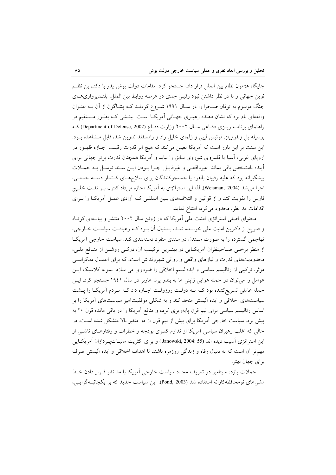جايگاه هژمون نظام بين الملل قرار داد، جستجو كرد. مقامات دولت بوش پدر با دكتـرين نظـم نوین جهانی و با در نظر داشتن نبود رقیبی جدی در عرصه روابط بین الملل، بلنــدپروازیهــای جنگ موسوم به توفان صـحرا را در ســال ۱۹۹۱ شــروع کردنــد کــه پنتــاگون از ان بــه عنــوان واقعهای نام برد که نشان دهنده رهبـری جهـانی امریکــا اســت. بینــشی کــه بطــور مــستقیم در راهنمای برنامــه ریــزی دفــاعی ســال ۲۰۰۲ وزارت دفــاع (Department of Defense, 2002) کــه بوسیله پل ولفوویتز، لوئیس لیبی و زلمای خلیل زاد و رامسفلد تدوین شد، قابل مشاهده بود. این سنت بر این باور است که امریکا تعیین میکند که هیچ ابر قدرت رقیـب اجــازه ظهــور در اروپای غربی، اسیا یا قلمروی شوروی سابق را نیابد و امریکا همچنان قدرت برتر جهانی برای اينده نامشخص باقي بماند. غيرواقعـي و غيرقابـل اجـرا بـودن ايــن سـند توســل بــه حمــلات پیشگیرانه بود که علیه رقیبان بالقوه یا جستجوکنندگان برای سلاحهـای کــشتار دســته جمعــی، اجرا میشد (Weisman, 2004). لذا این استراتژی به امریکا اجازه میداد کنترل بـر نفـت خلـیج فارس را تقویت کند و از قوانین و ائتلافهای بـین المللــی کــه ازادی عمــل امریکــا را بــرای اقدامات مد نظر، محدود میکرد، امتناع نماید.

محتوای اصلی استراتژی امنیت ملی امریکا که در ژوئن سال ۲۰۰۲ منتشر و بیانــهای کوتــاه و صریح از دکترین امنیت ملی خوانــده شــد، بــدنبال ان بــود کــه رهیافــت سیاســت خــارجی، تهاجمی گسترده را به صورت مستدل در سندی منفرد دستهبندی کند. سیاست خارجی امریکـا از منظر برخـی صـاحبنظران امریکـایی در بهتـرین ترکیـب ان، درکـی روشــن از منــافع ملــی، محدودیتهای قدرت و نیازهای واقعی و روانی شهرونداش است، که برای اعمـال دمکراسـی موثر، ترکیبی از رئالیسم سیاسی و ایدهالیسم اخلاقی را ضروری می سازد. نمونه کلاسیک ایــن عوامل را میتوان در حمله هوایی ژاپنی ها به بندر پرل هاربر در سال ۱۹٤۱ جستجو کرد. ایــن حمله عاملی تسریعکننده بود کــه بــه دولــت روزولــت اجــازه داد کــه مــردم امریکــا را پــشت سیاستهای اخلاقی و ایده الیستی متحد کند و به شکلی موفقیتامیز سیاستهای امریکا را بر اساس رئالیسم سیاسی برای نیم قرن پایهریزی کرده و منافع امریکا را در باقی مانده قرن ۲۰ به پیش برد. سیاست خارجی آمریکا برای بیش از نیم قرن از دو متغیر بالا متشکل شده است. در حالی که اغلب رهبران سیاسی آمریکا از تداوم کسری بودجه و خطرات و رفتارهـای ناشــی از این استراتژی آسیب دیده اند (55 :Janowski, 2004 ) و برای اکثریت مالیـاتپـردازان آمریکـایی مهمتر ان است که به دنبال رفاه و زندگی روزمره باشند تا اهداف اخلاقی و ایده الیستی صرف براي جهان بهتر.

حملات یازده سپتامبر در تعریف مجدد سیاست خارجی أمریکا با مد نظر قــرار دادن خـط مشی های نومحافظه کارانه استفاده شد (Pond, 2003). این سیاست جدید که بر یکجانبـهگرایـی،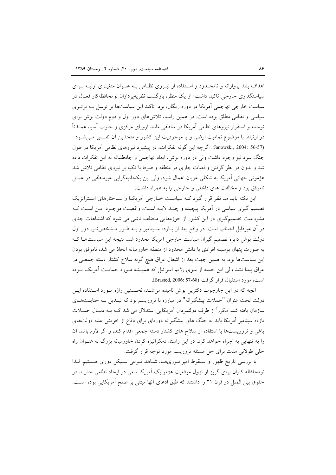اهداف بلند پروازانه و نامحـدود و اسـتفاده از نيـروي نظـامي بـه عنـوان متغيـري اوليـه بـراي سیاستگذاری خارجی تاکید داشت؛ از یک منظر، بازگشت نظریهپردازان نومحافظهکار فعـال در سیاست خارجی تهاجمی آمریکا در دوره ریگان، بود. تاکید این سیاستها بر توسل بـه برتـری سیاسی و نظامی مطلق بوده است. در همین راستا، تلاش های دور اول و دوم دولت بوش برای توسعه و استقرار نیروهای نظامی آمریکا در مناطقی مانند اروپای مرکزی و جنوب آسیا، عمــدتاً در ارتباط با موضوع تمامیت ارضی و یا موجودیت این کشور و متحدین آن تفـسیر مـیشـود (Janowski, 2004: 56-57). اگرچه این گونه تفکرات، در پیشبرد نیروهای نظامی آمریکا در طول جنگ سرد نیز وجود داشت ولی در دوره بوش، ابعاد تهاجمی و جاهطلبانه به این تفکرات داده شد و بدون در نظر گرفتن واقعیات جاری در منطقه و صرفا با تکیه بر نیروی نظامی تلاش شد هژمونی جهانی آمریکا به شکلی عریان اعمال شود، ولی این یکجانبهگرایی غیرمنطقی در عمــل ناموفق بود و مخالفت های داخلی و خارجی را به همراه داشت.

این نکته باید مد نظر قرار گیرد کـه سیاسـت خــارجی آمریکـا و ســاختارهای اسـتراتژیک تصمیم گیری سیاسی در آمریکا پیچیده و چنـد لایـه اسـت. واقعیـت موجـود ایـن اسـت کـه مشروعیت تصمیم گیری در این کشور از حوزههایی مختلف ناشی می شود که اشتباهات جدی در آن غیرقابل اجتناب است. در واقع بعد از پـازده سـپتامبر و بـه طـور مـشخص5تـر، دور اول دولت بوش دایره تصمیم گیران سیاست خارجی آمریکا محدود شد. نتیجه این سیاستهـا کـه به صورت پنهان بوسیله افرادی با دانش محدود از منطقه خاورمیانه اتخاذ می شد، ناموفق بودن این سیاستها بود. به همین جهت بعد از اشغال عراق هیچ گونه سلاح کشتار دسته جمعـی در عراق پیدا نشد ولی این حمله از سوی رژیم اسرائیل که همیـشه مـورد حمایـت آمریکـا بـوده است، مورد استقبال قرار گرفت (Brasted, 2006: 57-68).

آنچه که در این چارچوب دکترین بوش نامیده می شـد، نخـستین واژه مـورد اسـتفاده ایـن دولت تحت عنوان "حملات پیشگیرانه" در مبارزه با تروریسم بود که تبـدیل بـه جنایــتهـای سازمان یافته شد. مکرراً از طرف دولتمردان آمریکایی استدلال می شد کـه بـه دنبـال حمــلات یازده سپتامبر آمریکا باید به جنگ های پیشگیرانه دورهای برای دفاع از خویش علیه دولتهای یاغی و تروریستها با استفاده از سلاح های کشتار دسته جمعی اقدام کند، و اگر لازم باشد آن را به تنهایی به اجراء خواهد کرد. در این راستا، دمکراتیزه کردن خاورمیانه بزرگ به عنـوان راه حلي طولاني مدت براي حل مسئله تروريسم مورد توجه قرار گرفت.

با بررسی تاریخ ظهور و سـقوط امپراتـوریهـا، شـاهد نـوعی سـيکل دوری هـستيم. لـذا نومحافظه کاران برای گریز از نزول موقعیت هژمونیک آمریکا سعی در ایجاد نظامی جدیــد در حقوق بين الملل در قرن ٢١ را داشتند كه طبق ادعاى آنها مبتنى بر صلح آمريكايي بوده است.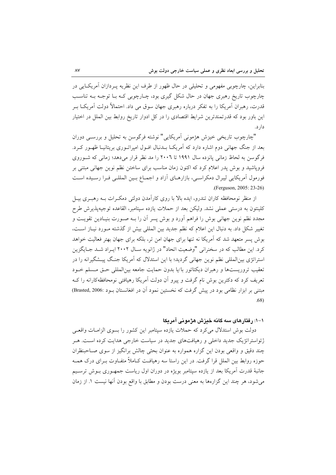بنابراین، چارچوبی مفهومی و تحلیلی در حال ظهور از طرف این نظریه پـردازان آمریکـایی در , چارچوب تاریخ رهبری جهان در حال شکل گیری بود، چــارچوبی کــه بــا توجــه بــه تناســب قدرت، رهبران آمریکا را به تفکر درباره رهبری جهان سوق می داد. احتمالاً دولت آمریکــا بــر این باور بود که قدرتمندترین شرایط اقتصادی را در کل ادوار تاریخ روابط بین الملل در اختیار دار د.

"چارچوب تاریخی خیزش هژمونی آمریکایی" نوشته فرگوسن به تحلیل و بررسبی دوران بعد از جنگ جهانی دوم اشاره دارد که امریکـا بــدنبال افــول امپراتــوری بریتانیــا ظهــور کــرد. فرگوسن به لحاظ زمانی پانزده سال ۱۹۹۱ تا ۲۰۰٦ را مد نظر قرار می دهد؛ زمانی که شـوروی فروپاشید و بوش پدر اعلام کرد که اکنون زمان مناسب برای ساختن نظم نوین جهانی مبتنی بر فورمول أمريكايي ليبرال دمكراسي، بازارهـاي أزاد و اجمـاع بـين المللـي فـرا رسـيده اسـت .(Ferguson, 2005: 23-26)

از منظر نومحافظه کاران تندرو، ایده بالا با روی کارامدن دولتی دمکـرات بــه رهبــری بیــل كلينتون به درستى عملى نشد. وليكن بعد از حملات يازده سپتامبر، القاعده توجيهپذيرش طرح مجدد نظم نوین جهانی بوش را فراهم اورد و بوش پسر آن را بــه صــورت بنیــادین تقویــت و تغيير شكل داد. به دنبال اين اعلام كه نظم جديد بين المللي بيش از گذشته مـورد نيـاز اسـت، بوش پسر متعهد شد که امریکا نه تنها برای جهان امن تر، بلکه برای جهان بهتر فعالیت خواهد کرد. این مطالب که در سخنرانی "وضعیت اتحاد" در ژانویه سـال ۲۰۰۲ ایـراد شـد جـایگزین استراتژی بینالمللی نظم نوین جهانی گردید؛ با این استدلال که امریکا جنـگ پیــشگیرانه را در تعقيب تروريستها و رهبران ديكتاتور با/يا بدون حمايت جامعه بين|لمللي حـق مـسلم خـود تعریف کرد که دکترین بوش نام گرفت و پیرو آن دولت اَمریکا رهیافتی نومحافظهکارانه را کــه مبتنی بر ابزار نظامی بود در پیش گرفت که نخستین نمود ان در افغانستان بــود :Brasted, 2006) .68)

**- - ! %& ' (!) :1-1**

دولت بوش استدلال می کرد که حملات یازده سپتامبر این کشور را بسوی الزامیات واقعے ژئواستراتژیک جدید داخلی و رهیافتهای جدید در سیاست خارجی هدایت کرده است. هـر چند دقیق و واقعی بودن این گزاره همواره به عنوان بحثی چالش برانگیز از سوی صــاحبنظران حوزه روابط بین الملل قرا گرفت. در این راستا سه رهیافت کـاملاً متفـاوت بـرای درک همـه جانبهٔ قدرت آمریکا بعد از یازده سپتامبر بویژه در دوران اول ریاست جمه وری بـوش ترسـیم میشود، هر چند این گزارهها به معنی درست بودن و مطابق با واقع بودن انها نیست ۱. از زمان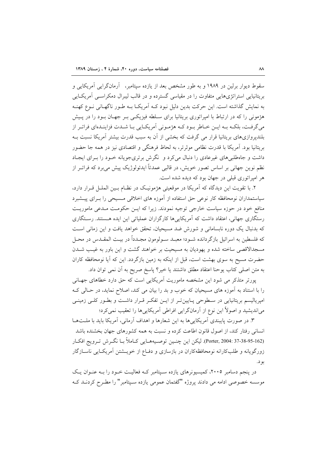سقوط دیوار برلین در ۱۹۸۹ و به طور مشخص بعد از یازده سپتامبر، آرمانگرایی آمریکایی و بریتانیایی استراتژیهایی متفاوت را در مقیاسی گسترده و در قالب لیبرال دمکراسـی آمریکـایی به نمایش گذاشته است. این حرکت بدین دلیل نبود کـه آمریکـا بـه طـور ناگهـانی نـوع کهنـه هژمونی را که در ارتباط با امیراتوری بریتانیا برای سـلطه فیزیکـی بـر جهـان بـود را در پـیش می گرفت، بلکـه بـه ایــن خــاطر بــود کــه هژمــونی آمریکــایی بــا شــدت فزاینــدهای فراتــر از بلندپروازیهای بریتانیا قرار می گرفت که بخشی از آن به سبب قدرت بیشتر آمریکا نسبت بـه بریتانیا بود. اَمریکا با قدرت نظامی موثرتر، به لحاظ فرهنگی و اقتصادی نیز در همه جا حضور داشت و جاهطلبی های غیرعادی را دنبال می کرد و نگرش برتری جویانه خـود را بـرای ایجـاد نظم نوین جهانی بر اساس تصور خویش، در قالبی عمدتاً ایدئولوژیک پیش میبرد که فراتــر از هر امپراتوری قبلی در جهان بود که دیده شده است.

۲. با تقویت این دیدگاه که آمریکا در موقعیتی هژمونیک در نظـام بـین الملـل قـرار دارد، سیاستمداران نومحافظه کار نوعی حق استفاده از اَموزه های اخلاقی مـسیحی را بـرای پیــشبرد منافع خود در حوزه سیاست خارجی توجیه نمودند. زیرا که ایـن حکومـت مـدعی ماموریـت رستگاری جهانی، اعتقاد داشت که آمریکاییها کارگزاران عملیاتی این ایده هستند. رستگاری که بدنبال یک دوره نابسامانی و شورش ضد مسیحیان، تحقق خواهد یافت و این زمانی است كه فلسطين به اسرائيل بازگردانده شـود؛ معبـد سـولومون مجـدداً در بيـت المقـدس در محـل مسجدالاقصی ساخته شده و یهودیان به مسیحیت بر خواهند گشت و این باور به غیب شـدن حضرت مسیح به سوی بهشت است، قبل از اینکه به زمین بازگردد. این که آیا نومحافظه کاران به متن اصلي كتاب يوحنا اعتقاد مطلق داشتند يا خير؟ پاسخ صريح به آن نمي توان داد.

پورتر متذکر می شود این مشخصه ماموریت اَمریکایی است که حق دارد خطاهای جهـانی را با استناد به آموزه های مسیحیان که خوب و بد را بیان می کند، اصلاح نماید، در حـالی کـه امپریالیسم بریتانیایی در سطوحی پـایینتـر از ایـن تفکـر قـرار داشـت و بطـور کلـی زمینـی می|ندیشید و اصولاً این نوع از آرمانگرایی افراطی آمریکایی ها را تعقیب نمی کرد؛

۳. در صورت پایبندی آمریکایی ها به این شعارها و اهداف آرمانی، آمریکا باید با ملــتهــا انسانی رفتار کند، از اصول قانون اطاعت کرده و نسبت به همه کشورهای جهان بخشنده باشد (Porter, 2004: 37-38-95-162). ليكن اين چنـين توصـيههـايي كـاملاً بـا نگـرش تـرويج افكـار زورگویانه و طلبکارانه نومحافظهکاران در بازسازی و دفـاع از خویــشتن آمریکـایی ناســازگار بو د.

در پنجم دسامبر ۲۰۰۵، کمیسیونرهای یازده سـپتامبر کـه فعالیـت خـود را بـه عنـوان یـک موسسه خصوصی ادامه می دادند پروژه "گفتمان عمومی یازده سـپتامبر" را مطـرح کردنــد کــه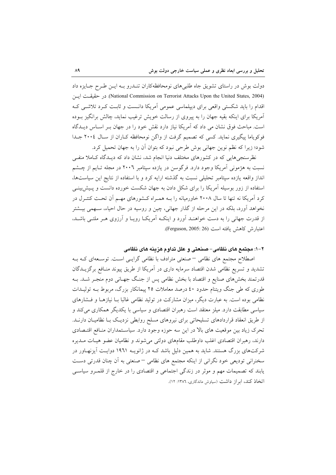دولت بوش در راستای تشویق جاه طلبیهای نومحافظهکاران تنـدرو بـه ایـن طـرح جـایزه داد (National Commission on Terrorist Attacks Upon the United States, 2004). در حقيقت ايسن اقدام را باید شکستی واقعی برای دیپلماسی عمومی آمریکا دانست و ثابت کرد تلاشی ک آمریکا برای اینکه بقیه جهان را به پیروی از رسالت خویش ترغیب نماید، چالش برانگیز بـوده است. مباحث فوق نشان می داد که آمریکا نیاز دارد نقش خود را در جهان بـر اسـاس دیـدگاه فوکویاما پیگیری نماید. کسی که تصمیم گرفت از واگن نومحافظه کـاران از سـال ٢٠٠٤ جـدا شود؛ زیرا که نظم نوین جهانی بوش طرحی نبود که بتوان آن را به جهان تحمیل کرد.

نظرسنجی هایی که در کشورهای مختلف دنیا انجام شد، نشان داد که دیـدگاه کـاملا منفـی نسبت به هژمونی اَمریکا وجود دارد. فرگوسن در یازده سپتامبر ۲۰۰٦ در مجله تـایم از چــشم انداز واقعه یازده سپتامبر تحلیلی نسبت به گذشته ارایه کرد و با استفاده از نتایج این سیاستها، استفاده از زور بوسیله آمریکا را برای شکل دادن به جهان شکست خورده دانست و پـیش;بینـی کرد آمریکا نه تنها تا سال ۲۰۰۸ خاورمیانه را بـه همـراه کـشورهای مهـم آن تحـت کنتـرل در نخواهد آورد، بلکه در این مرحله از گذار جهانی، چین و روسیه در حال احیاء، سـهمی بیــشتر از قدرت جهانی را به دست خواهنـد آورد و اینکـه آمریکـا رویـا و آرزوی هـر ملتـی باشـد، اعتبارش كاهش يافته است (Ferguson, 2005: 26).

۲–۱: مجتمع های نظامی–صنعتی و علل تداوم هزینه های نظامی

اصطلاح مجتمع های نظامی – صنعتی مترادف با نظامی گرایسی است. توسـعهای کـه بـه تشدید و تسریع نظامی شدن اقتصاد سرمایه داری در آمریکا از طریق پیوند منـافع برگزیــدگان قدرتمند بخشهای صنایع و اقتصاد با بخش نظامی پس از جنگ جهـانی دوم منجـر شـد. بــه طوری که طی جنگ ویتنام حدود ٤٠ درصد معاملات ٢٥ پيمانکار بزرگ، مربوط بـه توليـدات نظامی بوده است. به عبارت دیگر، میزان مشارکت در تولید نظامی غالبا بـا نیازهـا و فــشارهای سیاسی مطابقت دارد. میلز معتقد است رهبران اقتصادی و سیاسی با یکدیگر همکاری می کند و از طریق انعقاد قراردادهای تسلیحاتی برای نیروهای مسلح روابطی نزدیک بـا نظامیـان دارنــد. تحرک زیاد بین موقعیت های بالا در این سه حوزه وجود دارد. سیاستمداران منـافع اقتـصادی دارند، رهبران اقتصادی اغلب داوطلب مقامهای دولتی میشوند و نظامیان عضو هیـات مــدیره شرکتهای بزرگ هستند. شاید به همین دلیل باشد کـه در ژانویـه ۱۹٦۱ دوایـت آیزنهـاور در سخنرانی تودیعی خود نگرانی از اینکه مجتمع های نظامی –صنعتی به آن چنان قدرتی دست یابند که تصمیمات مهم و موثر در زندگی اجتماعی و اقتصادی را در خارج از قلمـرو سیاسـی اتخاذ کند، ایراز داشت (ساوش ماندگاری، ۱۳۸۶: ۱۲).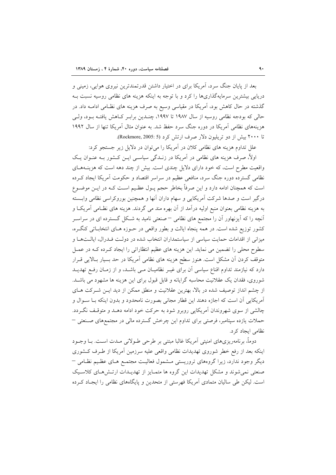بعد از پایان جنگ سرد، آمریکا برای در اختیار داشتن قدرتمندترین نیروی هوایی، زمینی و دریایی بیشترین سرمایهگذاریها را کرد و با توجه به اینکه هزینه های نظامی روسیه نسبت بـه گذشته در حال کاهش بود، آمریکا در مقیاسی وسیع به صرف هزینه های نظـامی ادامــه داد. در حالي كه بودجه نظامي روسيه از سال ١٩٨٧ تا ١٩٩٧، چنـدين برابـر كـاهش يافتـه بـود، ولـي هزینههای نظامی آمریکا در دوره جنگ سرد حفظ شد. به عنوان مثال آمریکا تنها از سال ۱۹۹۲ تا ۲۰۰۰ بیش از دو تریلیون دلار صرف ارتش کرد (Rockmore, 2005: 5).

علل تداوم هزینه های نظامی کلان در آمریکا را میتوان در دلایل زیر جستجو کرد:

اولاً، صرف هزینه های نظامی در آمریکا در زنــدگی سیاســی ایــن کــشور بــه عنــوان یــک واقعیت مطرح است، که خود دارای دلایل چندی است. بیش از چند دهه است که هزینــههــای نظامی گسترده دوره جنگ سرد، منافعی عظیم در سراسر اقتصاد و حکومت آمریکا ایجاد کـرده است که همچنان ادامه دارد و این صرفاً بخاطر حجم پــول عظـیم اســت کــه در ایــن موضــوع درگیر است و صدها شرکت آمریکایی و سهام داران آنها و همچنین بوروکراسی نظامی وابسته به هزینه نظامی بعنوان منبع اولیه درآمد از آن بهره مند می گردند. هزینه های نظـامی آمریکـا و آنچه را که آیزنهاور آن را مجتمع های نظامی <sup>—</sup>صنعتی نامید به شکل گـسترده ای در سراسـر کشور توزیع شده است. در همه پنجاه ایالت و بطور واقعی در حـوزه هـای انتخابـاتی کنگـره، میزانی از اقدامات حمایت سیاسی از سیاستمداران انتخاب شده در دولـت فـدرال، ایالـتهـا و سطوح محلی را تضمین می نماید. این هزینه های عظیم انتظاراتی را ایجاد کـرده کـه در عمـل متوقف کردن اّن مشکل است. هنوز سطح هزینه های نظامی اَمریکا در حد بسیار بـالایی قــرار دارد که نیازمند تداوم اقناع سیاسی آن برای غیـر نظامیـان مـی باشـد، و از زمـان رفـع تهدیـد شوروی، فقدان یک عقلانیت محاسبه گرایانه و قابل قبول برای این هزینه ها مشهود می باشـد. از چشم انداز توصیف شده در بالا، بهترین عقلانیت و منطق ممکن از دید ایـن شـرکت هـای آمريكايي آن است كه اجازه دهند اين قطار مجاني بصورت نامحدود و بدون اينكه بـا سـوال و چالشی از سوی شهروندان آمریکایی روبرو شود به حرکت خود ادامه دهـد و متوقـف نگـردد. حملات یازده سیتامبر، فرصتی برای تداوم این چرخش گسترده مالی در مجتمعهای صـنعتی <sup>—</sup> نظامی ایجاد کرد.

دوماً، برنامهریزیهای امنیتی آمریکا غالبا مبتنی بر طرحی طـولانی مـدت اسـت. بــا وجــود اینکه بعد از رفع خطر شوروی تهدیدات نظامی واقعی علیه سرزمین آمریکا از طـرف کـشوری دیگر وجود ندارد، زیرا گروههای تروریستی مـشمول فعالیـت مجتمـع هـای عظـیم نظـامی – صنعتی نمی شوند و مشکل تهدیدات این گروه ها متمـایز از تهدیـدات ارتـش۵حای کلاسـیک است. لیکن طی سالیان متمادی آمریکا فهرستی از متحدین و پایگاههای نظامی را ایجـاد کـرده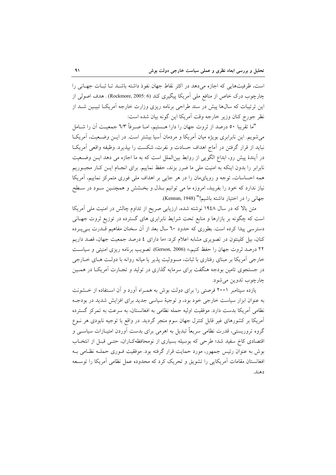است، ظرفیتهایی که اجازه می دهد در اکثر نقاط جهان نفوذ داشته باشـد تـا ثبـات جهـانی را چارچوب درک خاص از منافع ملی اَمریکا پیگیری کند (Rockmore, 2005: 6) . هدف اصولی از این ترتیبات که سال@ا پیش در سند طراحی برنامه ریزی وزارت خارجه آمریکـا تبیـین شــد از نظر جورج كنان وزير خارجه وقت أمريكا اين گونه بيان شده است:

"ما تقريبا ٥٠ درصد از ثروت جهان را دارا هـستيم، امــا صــرفاً ٦/٣ جمعيــت آن را شــامل می شویم. این نابرابری بویژه میان آمریکا و مردمان آسیا بیشتر است. در ایـن وضـعیت، آمریکـا نبايد از قرار گرفتن در آماج اهداف حسادت و نفرت، شكست را بيذيرد. وظيفه واقعي آمريكـا در آیندهٔ پیش رو، ابداع الگویی از روابط بینالملل است که به ما اجازه می دهد ایس وضعیت نابرابر را بدون اینکه به امنیت ملی ما ضرر بزند، حفظ نماییم. برای انجـام ایــن کــار مجبــوریم همه احساسات، توجه و رویایمان را در هر جایی بر اهداف ملی فوری متمرکز نماییم، آمریکا نیاز ندارد که خود را بفریبد، امروزه ما می توانیم بــذل و بخــشش و همچنــین ســود در ســطح جهاني را در اختيار داشته باشيم!" (Kennan, 1948).

متن بالا که در سال ۱۹٤۸ نوشته شده، ارزیابی صریح از تداوم چالش در امنیت ملی آمریکا است که چگونه بر بازارها و منابع تحت شرایط نابرابری های گسترده در توزیع ثروت جهـانی دسترسی پیدا کرده است. بطوری که حدود ٦٠ سال بعد از آن سخنان مفاهیم قــدرت بــی پــرده کنان، بیل کلینتون در تصویری مشابه اعلام کرد: «ما دارای ٤ درصد جمعیت جهان، قصد داریم ۲۲ درصد ثروت جهان را حفظ کنیم،» (Gerson, 2006). تصویب برنامه ریزی امنیتی و سیاست خارجي اَمريکا بر مبناي رفتاري با ثبات، مسووليت پذير يا ميانه روانه با دولـت هـاي خــارجي در جستجوی تامین بودجه هنگفت برای سرمایه گذاری در تولید و تجـارت آمریکـا در همـین چارچوب تدوين مي شود.

یازده سپتامبر ۲۰۰۱ فرصتی را برای دولت بوش به همـراه آورد و آن اسـتفاده از خـشونت به عنوان ابزار سیاست خارجی خود بود، و توجیهٔ سیاسی جدید برای افزایش شدید در بودجـه نظامی آمریکا بدست دارد. موفقیت اولیه حمله نظامی به افغانستان، به سرعت به تمرکز گسترده آمریکا بر کشورهای غیر قابل کنترل جهان سوم منجر گردید. در واقع با توجیه نابودی هر نــوع گروه تروریستی، قدرت نظامی سریعاً تبدیل به اهرمی برای بدست آوردن امتیـازات سیاســی و اقتصادی کاخ سفید شد؛ طرحی که بوسیله بسیاری از نومحافظهکـاران، حتـبی قبـل از انتخـاب بوش به عنوان رئیس جمهور، مورد حمایت قرار گرفته بود. موفقیت فـوری حملـه نظـامی بـه افغانستان مقامات آمریکایی را تشویق و تحریک کرد که محدوده عمل نظامی آمریکا را توسـعه دهند.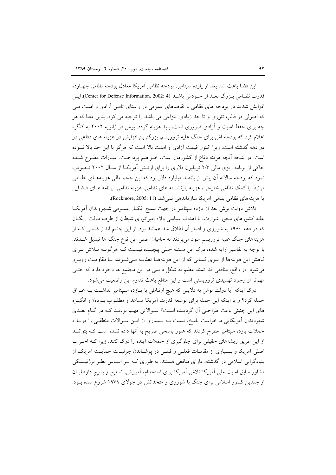این فضا باعث شد بعد از یازده سپتامبر، بودجه نظامی آمریکا معادل بودجه نظامی چهـارده قدرت نظـامی بـزرگ بعــد از خــودش باشــد (Center for Defense Information, 2002: 4). ايــن افزایش شدید در بودجه های نظامی با تقاضاهای عمومی در راستای تامین آزادی و امنیت ملی که اصولی در قالب تئوری و تا حد زیادی انتزاعی می باشد را توجیه می کرد. بدین معنا که هر چه برای حفظ امنیت و آزادی ضروری است، باید هزینه گردد. بوش در ژانویه ۲۰۰۲ به کنگره اعلام کرد که بودجه اش برای جنگ علیه تروریسم، بزرگترین افزایش در هزینه های دفاعی در دو دهه گذشته است. زیرا اکنون قیمت آزادی و امنیت بالا است که هرگز تا این حد بالا نبـوده است. در نتیجه آنچه هزینه دفاع از کشورمان است، خـواهیم پرداخـت. عبـارات مطـرح شـده حاکی از برنامه ریزی مالی ۲/۳ تریلیون دلاری را برای ارتـش آمریکـا از سـال ۲۰۰۲ تـصویب نمود که بودجه سالانه آن بیش از پانصد میلیارد دلار بود که این حجم مالی هزینههـای نظـامی مرتبط با کمک نظامی خارجی، هزینه بازنشسته های نظامی، هزینه نظامی، برنامه هـای فــضایی يا هزينههاي نظامي بدهي أمريكا سازماندهي نمي شد (Rockmore, 2005: 11).

تلاش دولت بوش بعد از یازده سپتامبر در جهت بسیج افک|ر عمـومی شـهروندان آمریکا علیه کشورهای محور شرارت، با اهداف سیاسی واژه امپراتوری شیطان از طرف دولت ریگان که در دهه ۱۹۸۰ به شوروی و اقمار آن اطلاق شد همانند بود. از این چشم انداز کسانی ک از هزینههای جنگ علیه تروریسم سود می بردند به حامیان اصلی این نوع جنگ ها تبدیل شـدند. با توجه به تفاسیر ارایه شده، درک این مسئله خیلی پیچیــده نیــست کــه هرگونــه تــلاش بــرای کاهش این هزینهها از سوی کسانی که از این هزینههـا تغذیـه مـیشـوند، بـا مقاومـت روبـرو می شود. در واقع، منافعی قدرتمند عظیم به شکل دایمی در این مجتمع ها وجود دارد که حتـی مهمتر از وجود تهدیدی تروریستی است و این منافع باعث تداوم این وضعیت می شود.

درک اینکه آیا دولت بوش به دلایلی که هیچ ارتباطی با پـازده سـپتامبر نداشـت بـه عـراق حمله كرد؟ و يا اينكه اين حمله براي توسعه قدرت آمريكا مساعد و مطلـوب بـوده؟ و انگيـزه های این چنینی باعث طراحی اَن گردیـده اسـت؟ سـوالاتی مهـم بودنـد کـه در گـام بعـدی شهروندان آمریکایی درخواست پاسخ، نسبت بـه بـسیاری از ایـن سـوالات منطقـی را دربـاره حملات یازده سیتامبر مطرح کردند که هنوز یاسخی صریح به آنها داده نشده است کـه بتواننــد از این طریق ریشههای حقیقی برای جلوگیری از حملات آینده را درک کنند. زیرا کـه احـزاب اصلی اَمریکا و بـسیاری از مقامـات فعلـی و قبلـی در پوشـاندن جزئیـات حمایـت اَمریکـا از بنیادگرایی اسلامی در گذشته، دارای منافعی هستند. به طوری کـه بـر اسـاس نظـر برژنیــسکی مشاور سابق امنیت ملی آمریکا تلاش آمریکا برای استخدام، آموزش، تسلیح و بسیج داوطلبان از چندین کشور اسلامی برای جنگ با شوروی و متحدانش در جولای ۱۹۷۹ شروع شده بـود.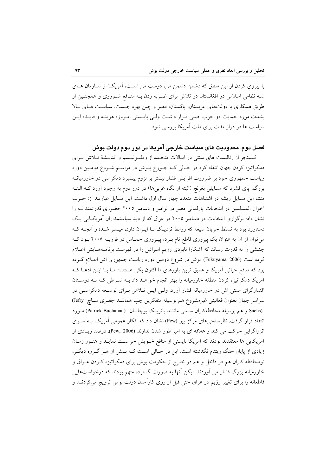با پیروی کردن از این منطق که دشمن دشمن من، دوست من است، آمریک ااز سـازمان هـای شبه نظامی اسلامی در افغانستان در تلاش برای ضـربه زدن بــه منــافع شــوروی و همچنــین از طریق همکاری با دولتهای عربستان، پاکستان، مصر و چین بهره جست. سیاست هـای بـالا بشدت مورد حمایت دو حزب اصلی قـرار داشـت ولـی بایـستی امـروزه هزینـه و فایـده ایـن سیاست ها در دراز مدت برای ملت آمریکا بررسی شود.

# فصل دوم: محدودیت های سیاست خارجی آمریکا در دور دوم دولت بوش

کسینجر از رئالیست های سنتی در ایبالات متحلده از ویلسونیسم و اندیشهٔ تبلاش برای دمکراتیزه کردن جهان انتقاد کرد در حـالی کـه جـورج بـوش در مراسـم شـروع دومـین دوره ریاست جمهوری خود بر ضرورت افزایش فشار بیشتر بر لزوم پیشبرد دمکراسی در خاورمیانـه بزرگ، پای فشرد که مسایلی بغرنج (البته از نگاه غربیها) در دور دوم به وجود آورد کـه البتـه منشا این مسایل ریشه در اشتباهات متعدد چهار سال اول داشت. این مسایل عبارتند از: حـزب اخوان المسلمین در انتخابات پارلمانی مصر در نوامبر و دسامبر ۲۰۰۵ حضوری قدرتمندانــه را نشان داد؛ برگزاری انتخابات در دسامبر ۲۰۰۵ در عراق که از دید سیاستمداران آمریک ایی یک دستاورد بود به تسلط جریان شیعه که روابط نزدیک بـا ایـران دارد، میـسر شـد؛ و آنچــه کــه می توان از آن به عنوان یک پیروزی قاطع نام بـرد، پیـروزی حمـاس در فوریــه ۲۰۰۵ بـود کـه جنبشی را به قدرت رساند که آشکارا نابودی رژیم اسرائیل را در فهرست برنامـههـایش اعـلام کرده است (Fukuyama, 2006). بوش در شروع دومین دوره ریاست جمهوری اش اعـلام کـرده بود که منافع حیاتی آمریکا و عمیق ترین باورهای ما اکنون یکی هستند؛ امـا بـا ایــن ادعـا کــه آمریکا دمکراتیزه کردن منطقه خاورمیانه را بهتر انجام خواهـد داد بـه شـرطی کـه بـه دوسـتان اقتدارگرای سنتی اش در خاورمیانه فشار آورد. ولـی ایــن تــلاش بــرای توســعه دمکراســی در سراسر جهان بعنوان فعالیتی غیرمشروع هم بوسیله متفکرین چپ هماننـد جفـری سـاچ (Jefry) (Sachs و هم بوسیله محافظه کاران ستتی ماننـد پاتریـک بوچانـان (Patrick Buchanan) مـورد انتقاد قرار گرفت. نظرسنجی های مرکز پیو (Pew) نشان داد که افکار عمومی آمریکـا بــه ســوی انزواگرايي حركت مي كند و علاقه اي به اميراطور شدن ندارند (Pew, 2006). درصد زيـادي از آمریکایی ها معتقدند بودند که آمریکا بایستی از منافع خــویش حراسـت نمایــد و هنــوز زمــان زیادی از پایان جنگ ویتنام نگذشته است. این در حـالی اسـت کـه بـیش از هـر گـروه دیگـر، نومحافظه کاران هم در داخل و هم در خارج از حکومت بوش برای دمکراتیزه کـردن عـراق و خاورمیانه بزرگ فشار می آوردند. لیکن آنها به صورت گسترده متهم بودند که درخواستهایی قاطعانه را برای تغییر رژیم در عراق حتی قبل از روی کارآمدن دولت بوش ترویج میکردنــد و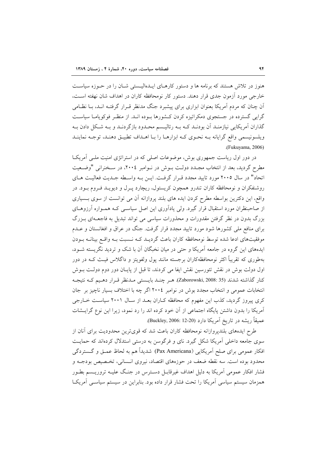هنوز در تلاش هستند که برنامه ها و دستور کارهـای ایـدهالیـستی شـان را در حـوزه سیاسـت خارجی مورد آزمون جدی قرار دهند. دستور کار نومحافظه کاران در اهداف شان نهفته است، آن چنان که مردم آمریکا بعنوان ابزاری برای پیشبرد جنگ مدنظر قـرار گرفتـه انـد، بــا نظـامی گرایی گسترده در جستجوی دمکراتیزه کردن کـشورها بـوده انــد. از منظـر فوکوپامـا سیاسـت گذاران آمریکایی نیازمنـد آن بودنـد کـه بــه رئالیـسم محـدود بازگردنـد و بــه شـکل دادن بــه ویلسونیسمی واقع گرایانه بـه نحـوی کـه ابزارهـا را بـا اهـداف تطبیـق دهنـد، توجـه نماینـد .(Fukuyama, 2006)

در دور اول ریاست جمهوری بوش، موضوعات اصلی که در استراتژی امنیت ملبی آمریکبا مطرح گردید، بعد از انتخاب مجـدد دولـت بــوش در نــوامبر ۲۰۰٤، در ســخنرانبي "وضــعيت اتحاد" در سال ۲۰۰۵ مورد تایید مجدد قـرار گرفـت. ایـن بـه واسـطه جـدیت فعالیـت هـای روشنفکران و نومحافظه کاران تندرو همچون کریستول، ریچارد پـرل و دیویـد فـروم بـود. در واقع، این دکترین بواسطه مطرح کردن ایده های بلند پروازانه آن می توانست از سوی بـسیاری از صاحبنظران مورد استقبال قرار گیرد. ولی یادآوری این اصل سیاسـی کـه همـواره آرزوهـای بزرگ بدون در نظر گرفتن مقدورات و محذورات سیاسی می تواند تبدیل به فاجعــهای بــزرگ برای منافع ملی کشورها شود مورد تایید مجدد قرار گرفت. جنگ در عراق و افغانستان و عــدم موفقیتهای ادعا شده توسط نومحافظه کاران باعث گردیـد کـه نـسبت بـه واقـع بینانـه بـودن ایدههای این گروه در جامعه آمریکا و حتی در میان نخبگان آن با شک و تردید نگریسته شـود، بهطوری که تقریباً اکثر نومحافظهکاران برجسته مانند پول ولفویتز و داگلاس فیـث کـه در دور اول دولت بوش در نقش تئورسین نقش ایفا می کردند، تا قبل از پایـان دور دوم دولـت بــوش كنار گذاشته شدند (Zaborowski, 2008: 35). هـر چنـد بايـستى مـدنظر قـرار دهـيم كـه نتيجـه انتخابات عمومی و انتخاب مجدد بوش در نوامبر ٢٠٠٤ اگر چه با اختلاف بسیار ناچیز بر جان کری پیروز گردید، کذب این مفهوم که محافظه کـاران بعـد از سـال ۲۰۰۱ سیاسـت خــارجی آمریکا را بدون داشتن پایگاه اجتماعی از آن خود کرده اند را رد نمود، زیرا این نوع گرایــشات عميقاً ريشه در تاريخ آمريكا دارد (Buckley, 2006: 12-20).

طرح ايدههاي بلنديروازانه نومحافظه كاران باعث شد كه قوىترين محدوديت براي آنان از سوی جامعه داخلی آمریکا شکل گیرد. نای و فرگوسن به درستی استدلال کردهاند که حمایت افکار عمومی برای صلح آمریکایی (Pax Americana) شدیداً هم به لحاظ عمـق و گــستردگی محدود بوده است. سه نقطه ضعف در حوزههای اقتصاد، نیروی انـسانی، تخـصیص بودجــه و فشار افکار عمومی آمریکا به دلیل اهداف غیرقابـل دسـترس در جنـگ علیـه تروریـسم بطـور همزمان سیستم سیاسی آمریکا را تحت فشار قرار داده بود. بنابراین در سیستم سیاسـی آمریکـا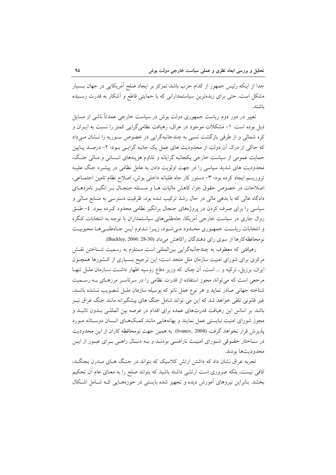جدا از اینکه رئیس جمهور از کدام حزب باشد تمرکز بر ایجاد صلح اَمریکایی در جهان بـسیار مشکل است، حتی برای زبدهترین سیاستمدارانی که با حمایتی قاطع و اَشکار به قدرت رسـیده ىاشىند.

تغییر در دور دوم ریاست جمهوری دولت بوش در سیاست خارجی عمدتاً ناشی از مسایل ذیل بوده است: ۱- مشکلات موجود در عراق، رهیافت نظامی گرایی کمتر را نسبت به ایــران و کره شمالی و از طرفی بازگشت نسبی به چندجانبهگرایی در خصوص سـوریه را نـشان مـیداد که حاکی از درک آن دولت از محدودیت های عمل یک جانبه گرایـی بـود؛ ۲- درصـد پـایین حمایت عمومی از سیاست خارجی یکجانبه گرایانه و تداوم هزینههای انـسانی و مـالی جنـگ، محدودیت های شدید سیاسی را در جهت اولویت دادن به عامل نظامی در پیشبرد جنگ علیـه تروريسم ايجاد كرده بود؛ ٣- دستور كار جاه طلبانه داخلي بوش، اصلاح نظام تامين اجتمـاعي، اصلاحات در خصوص حقوق جزا، کاهش مالیات هــا و مــسئله جنجـال بــر انگیــز نامزدهــای دادگاه عالی که با بدهی مالی در حال رشد ترکیب شده بود، ظرفیت دسترسی به منـابع مـالی و سیاسی را برای صرف کردن در پروژههای جنجال برانگیز نظامی محدود کـرده بـود. ٤- طبـق روال جاری در سیاست خارجی آمریکا، جاهطلبیهای سیاستمداران با توجه به انتخابات کنگره و انتخابات ریاست جمهوری محـدود مـیشـود، زیـرا تـداوم ایـن جـاهطلبـیهـا محبوبیـت نومحافظه كارها از سوى راى دهندگان راكاهش مى داد (30-28 :Buckley, 2006).

رهیافتی که معطوف به چندجانبهگرایی بینالمللی است مستلزم به رسمیت شـناختن نقـش مرکزی برای شورای امنیت سازمان ملل متحد است؛ این ترجیح بـسیاری از کـشورها همچـون ایران، برزیل، ترکیه و … است، آن چنان که وزیر دفاع روسیه اظهار داشت سـازمان ملـل تنهـا مرجعی است که می تواند مجوز استفاده از قدرت نظامی را در سرتاسـر مرزهـای بـه رسـمیت شناخته جهانی صادر نماید و هر نوع عمل ناتو که بوسیله سازمان ملـل تـصویب نـشده باشـد، غیر قانونی تلقی خواهد شد که این می تواند شامل جنگ های پیشگیرانه مانند جنگ عراق نیـز باشد. بر اساس این رهیافت قدرتهای عمده برای اقدام در عرصه بین المللـی بـدون تائیـد و مجوز شورای امنیت نبایستی عمل نمایند و بهانههایی مانند کمکهای انسان دوستانه مـورد يذير ش قرار نخواهد گرفت (Ivanov, 2004). به همين جهت نومحافظه كاران از اين محدوديت در سـاختار حقـوقى شـوراى امنيـت ناراضـي بودنـد و بــه دنبـال راهـي بـراى عبـور از ايـن محدوديتها بودند.

تجربه عراق نشان داد که داشتن ارتش کلاسیک که بتواند در جنگ هـای مـدرن بجنگـد، کافی نیست، بلکه ضروری است ارتشی داشته باشید که بتواند صلح را به معنای عام آن تحکیم بخشد. بنابراین نیروهای آموزش دیده و تجهیز شده بایستی در حوزههـایی کـه شـامل اشـکال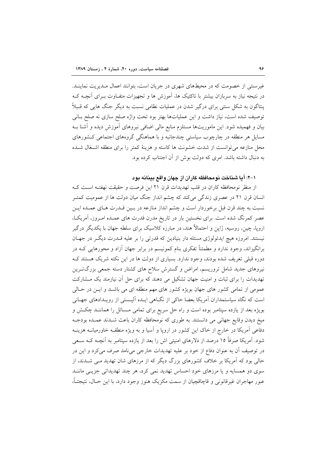غیرسنتی از خصومت که در محیطهای شهری در جریان است، بتوانند اعمال مـدیریت نماینـد. در نتیجه نیاز به سربازان بیشتر با تاکتیک ها، آموزش ها و تجهیزات متفـاوت بـرای آنچــه کــه پنتاگون به شکل سنتی برای درگیر شدن در عملیات نظامی نسبت به دیگر جنگ هایی که قـبلاً توصيف شده است، نياز داشت و اين عملياتها بهتر بود تحت واژه صلح سازي نه صلح بـاني بیان و فهمیده شود. این ماموریتها مستلزم منابع مالی اضافی نیروهای آموزش دیده و آشنا بـه مسایل هر منطقه در چارچوب سیاستی چندجانبه و با هماهنگی گروههای اجتماعی کشورهای محل منازعه می توانست از شدت خشونت ها کاسته و هزینهٔ کمتر را برای منطقه اشــغال شــده به دنبال داشته باشد. امری که دولت بوش از آن اجتناب کرده بود.

١-٢: آما شناخت نومحافظه كاران از جهان واقع ببنانه بود

از منظر نومحافظه كاران در قلب تهديدات قرن ٢١ اين فرصت و حقيقت نهفتـه اسـت كـه انسان قرن ۲۱ در عصری زندگی میکند که چشم انداز جنگ میان دولت ها از عمومیت کمتـر نسبت به چند قرن قبل برخوردار است و چشم انداز منازعه در بـین قــدرت هــای عمــده ایــن عصر کمرنگ شده است. برای نخستین بار در تاریخ مدرن قدرت های عمـده امـروز، آمریکـا، اروپا، چین، روسیه، ژاپن و احتمالاً هند، در مبارزه کلاسیک برای سلطه جهان با یکدیگر درگیر نیستند. امروزه هیچ ایدئولوژی مسئله دار بنیادین که قدرتی را بر علیه قــدرت دیگــر در جهــان برانگیزاند، وجود ندارد و مطمئناً تفکری بنام کمونیسم در برابر جهان آزاد و محورهایی کـه در دوره قبلی تعریف شده بودند، وجود ندارد. بسیاری از دولت ها در این نکته شریک هستند ک نیروهای جدید شامل تروریسم، امراض و گسترش سلاح های کشتار دسته جمعی بزرگتـرین تهدیدات را برای ثبات و امنیت جهان تشکیل می دهند که برای حل آن نیازمند یک مشارکت عمومی از تمامی کشور های جهان بویژه کشور های مهم منطقه ای می باشـد و ایـن در حـالی است که نگاه سیاستمداران آمریکا بعضا حاکی از نگـاهی ایـده آلیـستی از رویـدادهای جهـانی بویژه بعد از یازده سپتامبر بوده است و راه حل سریع برای تمامی مسائل را هماننـد چکـش و میخ دیدن وقایع جهانی می دانستند. به طوری که نومحافظه کاران باعث شـدند عمـده بودجـه دفاعی آمریکا در خارج از خاک این کشور در اروپا و آسیا و به ویژه منطقـه خاورمیانــه هزینــه شود. آمریکا صرفاً ۱۵ درصد از دلارهای امنیتی اش را بعد از یازده سپتامبر به آنچـه کـه سـعی در توصیف آن به عنوان دفاع از خود بر علیه تهدیدات خارجی می نامد صرف می کرد و این در حالی بود که آمریکا بر خلاف کشورهای بزرگ دیگر که از مرزهای شان تهدید مـی شــدند، از سوی دو همسایه و یا مرزهای خود احساس تهدید نمی کرد، هر چند تهدیداتی جزیـی ماننـد عبور مهاجران غيرقانوني و قاچاقچيان از سمت مكزيک هنوز وجود دارد، با اين حـال، نتيجتـاً،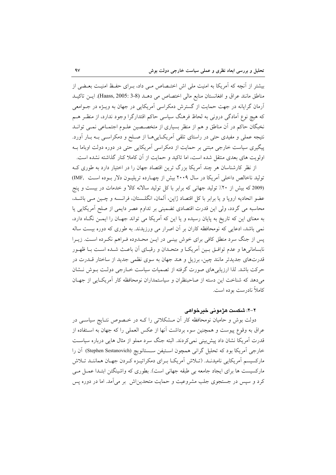بیشتر از انچه که امریکا به امنیت ملی اش اختـصاص مـی داد، بــرای حفـظ امنیــت بعــضی از مناطق مانند عراق و افغانستان منابع مالی اختصاص می دهــد (3-3 :Haass, 2005). ایــن تاکیــد آرمان گرایانه در جهت حمایت از گسترش دمکراسی آمریکایی در جهان به ویـژه در جـوامعی که هیچ نوع امادگی درونی به لحاظ فرهنگ سیاسی حاکم اقتدارگرا وجود ندارد، از منظـر هــم نخبگان حاکم در ان مناطق و هم از منظر بسیاری از متخصـصین علــوم اجتمــاعی نمــی توانــد نتیجه عملی و مفیدی حتی در راستای تلقی آمریک اییها از صلح و دمکراسـی بـه بـار آورد. پیگیری سیاست خارجی مبتنی بر حمایت از دمکراسی امریکایی حتی در دوره دولت اوباما بــه اولویت های بعدی منتقل شده است، اما تاکید و حمایت از ان کاملا کنار گذاشته نشده است.

از نظر کارشناسان هر چند امریکا بزرگ ترین اقتصاد جهان را در اختیار دارد به طوری کـه توليد ناخالص داخلي آمريكا در سال ٢٠٠٩ بيش از چهـارده تريليـون دلار بـوده اسـت (IMF, (2009 که بیش از ۲۰٪ تولید جهانی که برابر با کل تولید سالانه کالا و خدمات در بیست و پنج عضو اتحاديه اروپا و يا برابر با كل اقتصاد ژاپن، ألمان، انگلـستان، فرانـسه و چــين مــي باشــد، محاسبه می گردد، ولی این قدرت اقتصادی تضمینی بر تداوم عصر دایمی از صلح امریکایی یا به معنای این که تاریخ به پایان رسیده و یا این که امریکا می تواند جهـان را ایمــن نگــاه دارد، نمی باشد، ادعایی که نومحافظه کاران بر آن اصرار می ورزیدند. به طوری که دوره بیست ساله پس از جنگ سرد منطق کافی برای خوش بینـی در ایــن محــدوده فــراهم نکــرده اســت. زیــرا نابسامانیها و عدم توافـق بـین آمریکـا و متحـدان و رقبـای آن باعـث شـده اسـت بـا ظهـور قدرتهای جدیدتر مانند چین، برزیل و هند جهان به سوی نظمی جدید از ساختار قــدرت در حركت باشد. لذا ارزيابي هاي صورت گرفته از تصميات سياست خـارجي دولـت بـوش نــشان میدهد که شناخت این دسته از صاحبنظران و سیاستمداران نومحافظه کار امریکـایی از جهـان کاملاً نادرست بوده است.

#### **۲–۲: شکست هژمونی خیرخواهی**

دولت بوش و حامیان نومحافظه کار آن مـشکلاتی را کـه در خـصوص نتـایج سیاسـی در عراق به وقوع پیوست و همچنین سوء برداشت انها از عکس العملی را که جهان به اسـتفاده از قدرت امریکا نشان داد پیش بینی نمیکردند. البته جنگ سرد مملو از مثال هایی درباره سیاسـت خارجي أمريكا بود كه تحليل گراني همچون اسـتيفن سـستانويچ (Stephen Sestanovich) أن را مارکسیسم امریکایی نامیدنـد. (تــلاش امریکــا بــرای دمکراتیــزه کــردن جهــان هماننــد تــلاش مارکسیست ها برای ایجاد جامعه بی طبقه جهانی است). بطوری که واشینگتن ابتـدا عمــل مــی کرد و سپس در جستجوی جلب مشروعیت و حمایت متحدین(ش بر میآمد. اما در دوره پس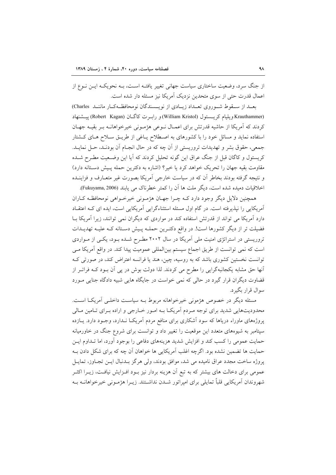از جنگ سرد، وضعیت ساختاری سیاست جهانی تغییر یافتــه اســت، بــه نحویکــه ایــن نــوع از اعمال قدرت حتى از سوى متحدين نزديک آمريکا نيز مسئله دار شده است.

بعــد از ســقوط شــوروی تعــداد زیـــادی از نویـــسندگان نومحافظــهکــار ماننــد Charles) (Krauthammer ويليام كريـــــتول (William Kristol) و رابــرت كاگــان (Robert Kagan) بيـــشنهاد كردند كه آمريكا از حاشيه قدرتش براي اعمـال نـوعي هژمـوني خيرخواهانــه بـر بقيــه جهـان استفاده نماید و مسائل خود را با کشورهای به اصطلاح یـاغی از طریـق سـلاح هـای کـشتار جمعي، حقوق بشر و تهديدات تروريستي از آن چه كه در حال انجـام آن بودنـد، حـل نمايـد. کریستول و کاگان قبل از جنگ عراق این گونه تحلیل کردند که ایا این وضـعیت مطـرح شــده مقاومت بقيه جهان را تحريک خواهد کرد يا خير؟ (اشاره به دکترين حمله پـيش دسـتانه دارد) و نتیجه گرفته بودند بخاطر ان که در سیاست خارجی امریکا بصورت غیر متعـارف و فزاینــده اخلاقیات دمیده شده است، دیگر ملت ها ان را کمتر خطرناک می یابند (Fukuyama, 2006).

همچنین دلایل دیگر وجود دارد کـه چــرا جهــان هژمــونی خیرخــواهی نومحافظـه کــاران امریکایی را نپذیرفته است. در گام اول مسئله استثناءگرایی امریکایی است، ایده ای کـه اعتقــاد دارد امریکا می تواند از قدرتش استفاده کند در مواردی که دیگران نمی توانند، زیرا امریکا بــا فضیلت تر از دیگر کشورها است!. در واقع دکتـرین حملـه پـیش دسـتانه کـه علیـه تهدیـدات تروریستی در استراتژی امنیت ملی امریکا در سال ۲۰۰۲ مطـرح شــده بــود، یکــی از مــواردی است که نمی توانست از طریق اجماع سیستم بینالمللی عمومیت پیدا کند. در واقع امریکا مـی توانست نخستین کشوری باشد که به روسیه، چین، هند یا فرانسه اعتراض کند، در صورتی کـه أنها حق مشابه يكجانبهگرايي را مطرح مي كردند. لذا دولت بوش در پي أن بـود كـه فراتـر از قضاوت دیگران قرار گیرد در حالی که نمی خواست در جایگاه هایی شبیه دادگاه جنایی مـورد سوال قرار بگيرد.

مسئله ديگر در خصوص هژموني خيرخواهانه مربوط بـه سياست داخلـي آمريكـا اسـت. محدودیتهایی شدید برای توجه مـردم آمریکـا بـه امـور خـارجی و اراده بـرای تـامین مـالی پروژههای ماوراء دریاها که سود اشکاری برای منافع مردم امریکـا نــدارد. وجــود دارد. یــازده سپتامبر به شیوههای متعدد این موقعیت را تغییر داد و توانست برای شروع جنگ در خاورمیانه حمایت عمومی را کسب کند و افزایش شدید هزینههای دفاعی را بوجود اورد، اما تــداوم ایــن حمایت ها تضمین نشده بود. اگرچه اغلب آمریکایی ها خواهان آن چه که برای شکل دادن بـه يروژه ساخت مجدد عراق ناميده مي شد، موافق بودند، ولي هرگز بــدنبال ايــن تجــاوز، تمايــل عمومی برای دخالت های بیشتر که به تبع ان هزینه بردار نیز بــود افــزایش نیافــت، زیــرا اکثــر شهروندان امریکایی قلباً تمایلی برای امپراتور شــدن نداشــتند. زیــرا هژمــونی خیرخواهانــه بــه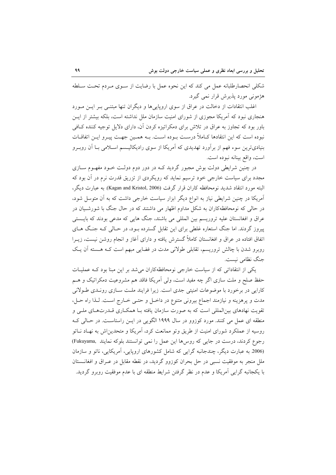شکلی انحصارطلبانه عمل می کند که این نحوه عمل با رضایت از سـوی مـردم تحـت سـلطه هژموني مورد پذيرش قرار نمي گيرد.

اغلب انتقادات از دخالت در عراق از سوی اروپاییها و دیگران تنها مبتنـی بـر ایـن مـورد هنجاری نبود که آمریکا مجوزی از شورای امنیت سازمان ملل نداشته است، بلکه بیشتر از ایــن باور بود که تجاوز به عراق در تلاش برای دمکراتیزه کردن آن، دارای دلایل توجیه کننده کـافی نبوده است که این انتقادها کـاملاً درسـت بـوده اسـت. بـه همـین جهـت پیـرو ایــن اتفاقــات بنیادیترین سوء فهم از برآورد تهدیدی که آمریکا از سوی رادیکالیـسم اسـلامی بـا آن روبـرو است، واقع بينانه نبوده است.

در چنین شرایطی دولت بوش مجبور گردید کـه در دور دوم دولـت خــود مفهــوم ســازی مجدد برای سیاست خارجی خود ترسیم نماید که رویکردی از تزریق قدرت نرم در آن بود که البته مورد انتقاد شديد نومحافظه كاران قرار گرفت (Kagan and Kristol, 2006). به عبارت ديگر، آمریکا در چنین شرایطی نیاز به انواع دیگر ابزار سیاست خارجی داشت که به اَن متوسل شود، در حالی که نومحافظهکاران به شکل مداوم اظهار می داشتند که در حال جنگ با شورشـیان در عراق و افغانستان علیه تروریسم بین المللی می باشند، جنگ هایی که مدعی بودند که بایـستی پیروز گردند. اما جنگ استعاره غلطی برای این تقابل گسترده بـود، در حـالی کـه جنـگ هـای اتفاق افتاده در عراق و افغانستان کاملاً گسترش یافته و دارای آغاز و انجام روشن نیست، زیــرا روبرو شدن با چالش تروریسم، تقابلی طولانی مدت در فضایی مبهم است کـه هـسته آن یـک جنگ نظامی نیست.

یکی از انتقاداتی که از سیاست خارجی نومحافظهکاران می شد بر این مبنا بود کـه عملیـات حفظ صلح و ملت سازی اگر چه مفید است، ولی اَمریکا فاقد هم مشروعیت دمکراتیک و هــم کارایی در برخورد با موضوعات امنیتی جدی است. زیرا فرایند ملت سـازی رونـدی طـولانی مدت و پرهزینه و نیازمند اجماع بیرونی متنوع در داخـل و حتـی خـارج اسـت. لـذا راه حـل، تقویت نهادهای بینالمللی است که به صورت سازمان یافته بـا همکـاری قــدرتهـای ملــی و منطقه ای عمل می کنند. مورد کوزوو در سال ۱۹۹۹ الگویی در ایـن راستاسـت. در حـالی کـه روسیه از عملکرد شورای امنیت از طریق و تو ممانعت کرد، آمریکا و متحدین اش به نهـاد نــاتو رجوع كردند، درست در جايي كه روسها اين عمل را نمي توانستند بلوكه نمايند .Fukuyama) (2006 به عبارت دیگر، چندجانبه گرایی که شامل کشورهای اروپایی، آمریکایی، ناتو و سازمان ملل منجر به موفقیت نسبی در حل بحران کوزوو گردید، در نقطه مقابل در عـراق و افغانــستان با یکجانبه گرایی آمریکا و عدم در نظر گرفتن شرایط منطقه ای با عدم موفقیت روبرو گردید.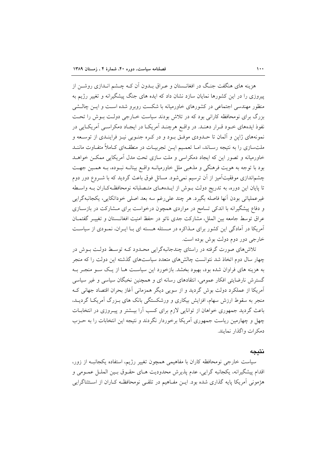هزینه های هنگفت جنگ در افغانــستان و عــراق بــدون آن کــه چــشم انــدازی روشــن از پیروزی را در این کشورها نمایان سازد نشان داد که ایده های جنگ پیشگیرانه و تغییر رژیم به منظور مهندسی اجتماعی در کشورهای خاورمیانه با شکست روبرو شده است و ایــن چالــشی بزرگ برای نومحافظه کارانی بود که در تلاش بودند سیاست خــارجی دولـت بــوش را تحــت نفوذ ایدههای خـود قـرار دهنـد. در واقـع هرچنـد آمریکـا در ایجـاد دمکراسـی آمریکـایی در نمونههای ژاپن و آلمان تا حـدودی موفـق بـود و در کـره جنـوبی نیـز فراینـدی از توسـعه و ملتسازی را به نتیجه رسـاند، امــا تعمـیم ایــن تجربیــات در منطقــهای کــاملاً متفــاوت ماننــد خاورمیانه و تصور این که ایجاد دمکراسی و ملت سازی تحت مدل آمریکایی ممکـن خواهــد بود با توجه به هویت فرهنگی و مذهبی ملل خاورمیانـه واقـع بینانـه نبـوده، بـه همـین جهـت چشم|ندازی موفقیتآمیز از آن ترسیم نمیشود. مسائل فوق باعث گردید که با شـروع دور دوم تا پایان این دوره، به تدریج دولت بوش از ایـدهـای متـصلبانه نومحافظـهکـاران بـه واسـطه غیرعملیاتی بودن آنها فاصله بگیرد. هر چند علیرغم سه بعد اصلی خوداتکایی، یکجانبهگرایی و دفاع پیشگیرانه با اندکی تسامح در مواردی همچون درخواست برای مشارکت در بازسازی عراق توسط جامعه بين الملل، مشاركت جدى ناتو در حفظ امنيت افغانستان و تغييـر گفتمـان آمریکا در آمادگی این کشور برای مـذاکره در مـسئله هـسته ای بـا ایـران، نمـودی از سیاسـت خارجي دور دوم دولت بوش بوده است.

تلاشهای صورت گرفته در راستای چندجانبهگرایی محـدود کـه توسـط دولـت بـوش در چهار سال دوم اتخاذ شد نتوانست چالشهای متعدد سیاستهای گذشته این دولت را که منجر به هزینه های فراوان شده بود، بهبود بخشد. بازخورد این سیاست هـا از یـک سـو منجـر بـه گسترش نارضایتی افکار عمومی، انتقادهای رسانه ای و همچنین نخبگان سیاسی و غیر سیاسی آمریکا از عملکرد دولت بوش گردید و از سویی دیگر همزمانی آغاز بحران اقتصاد جهانی ک منجر به سقوط ارزش سهام، افزایش بیکاری و ورشکستگی بانک های بـزرگ آمریکـا گردیــد. باعث گردید جمهوری خواهان از توانایی لازم برای کسب آرا بیـشتر و پیـروزی در انتخابــات چهل و چهارمین ریاست جمهوری آمریکا برخوردار نگردند و نتیجه این انتخابات را به حـزب دمک ات واگذار نمایند.

### نتىحە

سیاست خارجی نومحافظه کاران با مفاهیمی همچون تغییر رژیم، استفاده یکجانبـه از زور، اقدام پیشگیرانه، یکجانبه گرایی، عدم پذیرش محدودیت هـای حقـوق بـین الملـل عمـومی و هژمونی آمریکا پایه گذاری شده بود. ایــن مفــاهیم در تلقــی نومحافظــه کــاران از اســتثناگرایی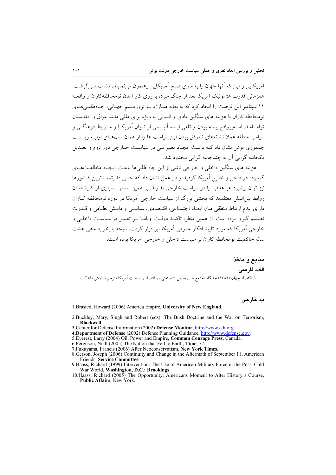آمریکایی و این که آنها جهان را به سوی صلح آمریکایی رهنمون می نمایند، نشات مـی گرفـت. همزمانی قدرت هژمونیک آمریکا بعد از جنگ سرد، با روی کار آمدن نومحافظهکاران و واقعـه ۱۱ سپتامبر این فرصت را ایجاد کرد که به بهانه مبارزه با تروریسیم جهیانی، جیاهطلبے هیای نومحافظه کاران با هزینه های سنگین مادی و انسانی به ویژه برای مللی مانند عراق و افغانستان توام باشد. اما غیرواقع بینانه بودن و تلقی ایـده الیـستی از تــوان آمریکــا و شــرایط فرهنگــی و سیاسی منطقه عملاً نشانههای ناموفق بودن این سیاست ها را از همان سال هـای اولیـه ریاسـت جمهوري بوش نشان داد کـه باعـث ايجـاد تغييراتـي در سياسـت خــارجي دور دوم و تعــديل یکجانبه گرایی آن به چندجانبه گرایی محدود شد.

هزينه هاي سنگين داخلي و خارجي ناشي از اين جاه طلبي ها باعـث ايجـاد مخالفـتهـاي گسترده در داخل و خارج آمریکا گردید و در عمل نشان داد که حتبی قدرتمنـدترین کـشورها نیز توان پیشیرد هر هدفی را در سیاست خارجی ندارند. بر همین اساس بسیاری از کارشناسان روابط بین|لملل معتقدند که بخشی بزرگ از سیاست خارجی آمریکا در دوره نومحافظه کـاران دارای عدم ارتباط منطقی میان ابعـاد اجتمـاعی، اقتـصادی، سیاسـی و دانـش نظـامی و قــدرت تصمیم گیری بوده است. از همین منظر، تاکیـد دولـت اوبامـا بـر تغییـر در سیاسـت داخلـی و خارجی آمریکا که مورد تایید افکار عمومی آمریکا نیز قرار گرفت، نتیجه بازخورد منفی هشت ساله حاکمیت نومحافظه کاران بر سیاست داخلی و خارجی آمریکا بوده است.

منابع و ماخذ: الف. فارسى: ۱. اقتصاد جهان (۱۳۸٦) جایگاه مجتمع های نظامی <sup>—</sup>صنعتی در اقتصاد و سیاست اَمریکا مترجم سیاوش ماندگاری.

ب. خارجي

1.Brasted, Howard (2006) America Empire, University of New England.

- 2. Buckley, Mary, Singh and Robert (eds). The Bush Doctrine and the War on Terrorism, Blackwell.
- 3. Center for Defense Information (2002) Defense Monitor, http://www.cdi.org.
- 4. Department of Defense (2002) Defense Planning Guidance, http://www.defense.gov.
- 5. Everest, Larry (2004) Oil, Power and Empire, Common Courage Press, Canada.
- 6. Ferguson, Niall (2005) The Nation that Fell to Earth. Time, 77
- 7. Fukuyama, Francis (2006) After Neoconservatism, New York Times.
- 8.Gerson, Joseph (2006) Continuity and Change in the Aftermath of September 11, American Friends, Service Committee.
- 9. Haass, Richard (1999) Intervention: The Use of American Military Force in the Post-Cold War World, Washington, D.C.: Brookings.
- 10. Haass, Richard (2005) The Opportunity, Americans Moment to Alter History s Course, Public Affairs. New York.